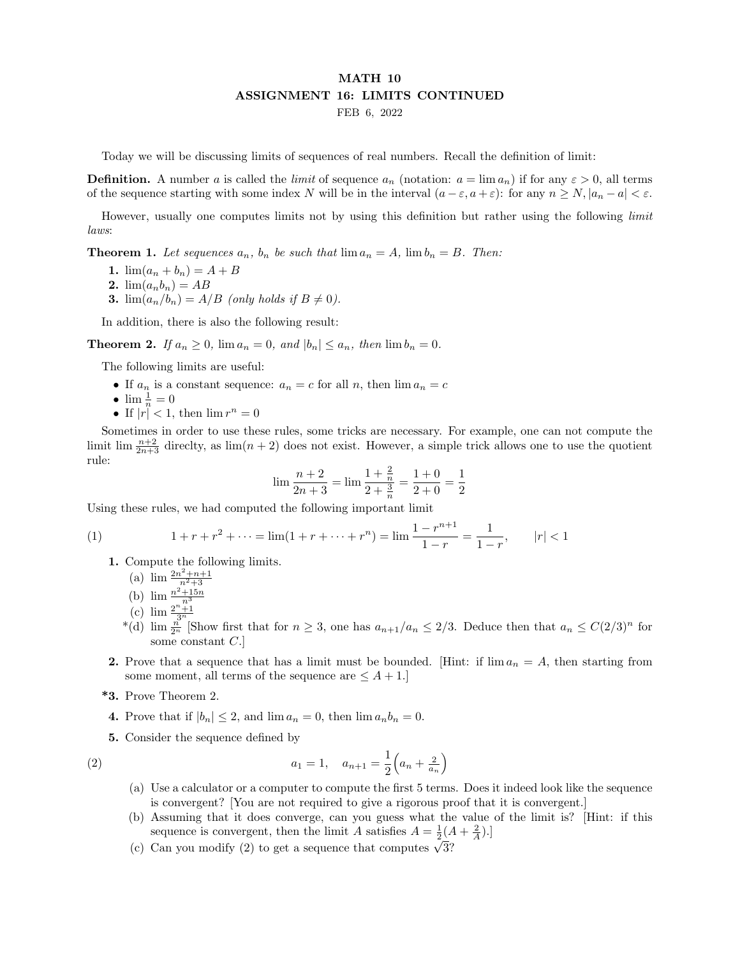## MATH 10 ASSIGNMENT 16: LIMITS CONTINUED FEB 6, 2022

Today we will be discussing limits of sequences of real numbers. Recall the definition of limit:

**Definition.** A number a is called the *limit* of sequence  $a_n$  (notation:  $a = \lim a_n$ ) if for any  $\varepsilon > 0$ , all terms of the sequence starting with some index N will be in the interval  $(a - \varepsilon, a + \varepsilon)$ : for any  $n \ge N, |a_n - a| < \varepsilon$ .

However, usually one computes limits not by using this definition but rather using the following *limit* laws:

**Theorem 1.** Let sequences  $a_n$ ,  $b_n$  be such that  $\lim a_n = A$ ,  $\lim b_n = B$ . Then:

- 1.  $\lim(a_n + b_n) = A + B$
- 2.  $\lim(a_n b_n) = AB$
- **3.**  $\lim_{n \to \infty} (a_n/b_n) = A/B$  (only holds if  $B \neq 0$ ).

In addition, there is also the following result:

**Theorem 2.** If  $a_n \geq 0$ ,  $\lim a_n = 0$ , and  $|b_n| \leq a_n$ , then  $\lim b_n = 0$ .

The following limits are useful:

- If  $a_n$  is a constant sequence:  $a_n = c$  for all  $n$ , then  $\lim a_n = c$
- $\lim \frac{1}{n} = 0$
- If  $|r| < 1$ , then  $\lim r^n = 0$

Sometimes in order to use these rules, some tricks are necessary. For example, one can not compute the limit lim  $\frac{n+2}{2n+3}$  directly, as  $\lim(n+2)$  does not exist. However, a simple trick allows one to use the quotient rule:

$$
\lim \frac{n+2}{2n+3} = \lim \frac{1+\frac{2}{n}}{2+\frac{3}{n}} = \frac{1+0}{2+0} = \frac{1}{2}
$$

Using these rules, we had computed the following important limit

(1) 
$$
1 + r + r^{2} + \dots = \lim(1 + r + \dots + r^{n}) = \lim_{n \to \infty} \frac{1 - r^{n+1}}{1 - r} = \frac{1}{1 - r}, \qquad |r| < 1
$$

1. Compute the following limits.

(a)  $\lim \frac{2n^2+n+1}{n^2+3}$ 

- (b)  $\lim_{n \to \infty} \frac{n^2 + 15n}{n^3}$
- (c)  $\lim \frac{2^n + 1}{3^n}$
- <sup>\*</sup>(d)  $\lim_{n \to \infty} \frac{n}{2^n}$  [Show first that for  $n \geq 3$ , one has  $a_{n+1}/a_n \leq 2/3$ . Deduce then that  $a_n \leq C(2/3)^n$  for some constant C.]
- 2. Prove that a sequence that has a limit must be bounded. [Hint: if  $\lim a_n = A$ , then starting from some moment, all terms of the sequence are  $\leq A + 1$ .]
- \*3. Prove Theorem 2.
- 4. Prove that if  $|b_n| \leq 2$ , and  $\lim a_n = 0$ , then  $\lim a_n b_n = 0$ .

5. Consider the sequence defined by

(2) 
$$
a_1 = 1, \quad a_{n+1} = \frac{1}{2} \left( a_n + \frac{2}{a_n} \right)
$$

- (a) Use a calculator or a computer to compute the first 5 terms. Does it indeed look like the sequence is convergent? [You are not required to give a rigorous proof that it is convergent.]
- (b) Assuming that it does converge, can you guess what the value of the limit is? [Hint: if this sequence is convergent, then the limit A satisfies  $A = \frac{1}{2}(A + \frac{2}{A}).$
- sequence is convergent, then the mint A satisfies  $A = \frac{1}{2}(A)$ <br>(c) Can you modify (2) to get a sequence that computes  $\sqrt{3}$ ?